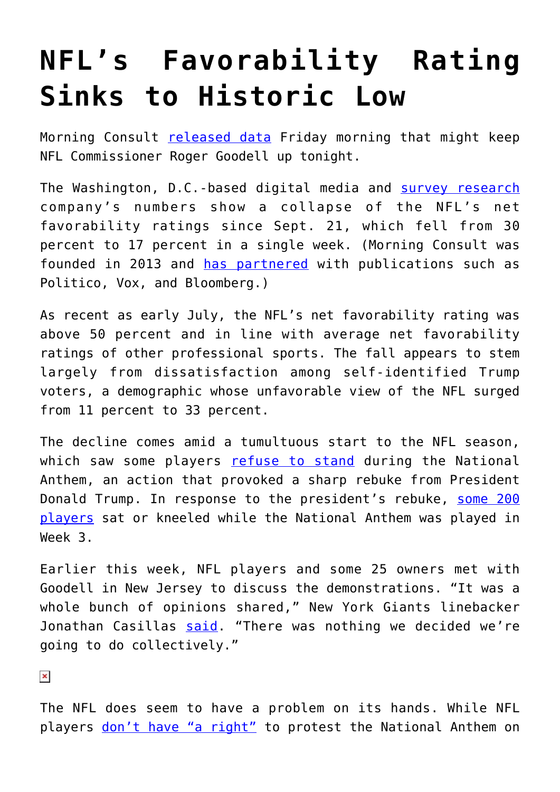## **[NFL's Favorability Rating](https://intellectualtakeout.org/2017/09/nfls-favorability-rating-sinks-to-historic-low/) [Sinks to Historic Low](https://intellectualtakeout.org/2017/09/nfls-favorability-rating-sinks-to-historic-low/)**

Morning Consult [released data](http://view.e.morningconsult.com/?qs=c033ac2065954cbb2c587c72bfdbf232e56ea6218e9dc74e63a0ec6bfc9e0ee70e4b9fa970df7d9bb8326a8a688450c8b32c09abbcf478add6662007f3521ccc) Friday morning that might keep NFL Commissioner Roger Goodell up tonight.

The Washington, D.C.-based digital media and [survey research](https://en.wikipedia.org/wiki/Survey_research) company's numbers show a collapse of the NFL's net favorability ratings since Sept. 21, which fell from 30 percent to 17 percent in a single week. (Morning Consult was founded in 2013 and [has partnered](http://www.businessinsider.com/morning-consult-election-polls-2016-11) with publications such as Politico, Vox, and Bloomberg.)

As recent as early July, the NFL's net favorability rating was above 50 percent and in line with average net favorability ratings of other professional sports. The fall appears to stem largely from dissatisfaction among self-identified Trump voters, a demographic whose unfavorable view of the NFL surged from 11 percent to 33 percent.

The decline comes amid a tumultuous start to the NFL season, which saw some players [refuse to stand](https://www.intellectualtakeout.org/article/using-national-anthem-and-us-flag-protest-not-helpful) during the National Anthem, an action that provoked a sharp rebuke from President Donald Trump. In response to the president's rebuke, [some 200](http://www.chicagotribune.com/sports/football/ct-nfl-national-anthem-kneeling-20170924-story.html) [players](http://www.chicagotribune.com/sports/football/ct-nfl-national-anthem-kneeling-20170924-story.html) sat or kneeled while the National Anthem was played in Week 3.

Earlier this week, NFL players and some 25 owners met with Goodell in New Jersey to discuss the demonstrations. "It was a whole bunch of opinions shared," New York Giants linebacker Jonathan Casillas [said.](http://m.startribune.com/goodell-met-with-owners-and-players-on-anthem-on-tuesday/448545193/?section=sports) "There was nothing we decided we're going to do collectively."

 $\pmb{\times}$ 

The NFL does seem to have a problem on its hands. While NFL players [don't have "a right"](https://www.intellectualtakeout.org/article/law-professor-stop-saying-football-players-have-constitutional-right-kneel-during-national) to protest the National Anthem on